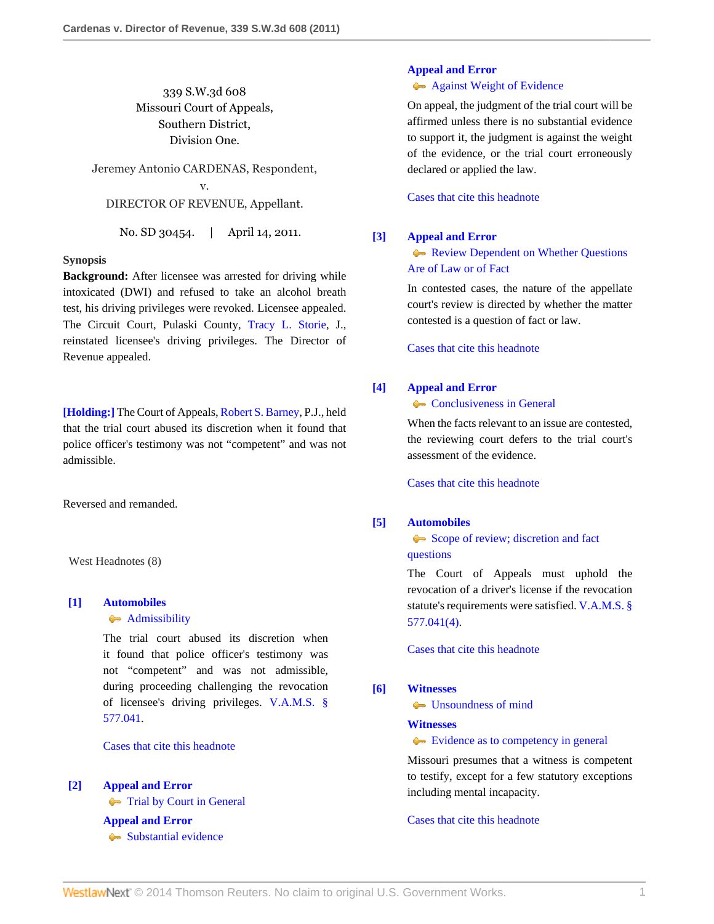339 S.W.3d 608 Missouri Court of Appeals, Southern District, Division One.

Jeremey Antonio CARDENAS, Respondent, v. DIRECTOR OF REVENUE, Appellant.

No. SD 30454. | April 14, 2011.

# **Synopsis**

**Background:** After licensee was arrested for driving while intoxicated (DWI) and refused to take an alcohol breath test, his driving privileges were revoked. Licensee appealed. The Circuit Court, Pulaski County, [Tracy L. Storie,](http://www.westlaw.com/Link/Document/FullText?findType=h&pubNum=176284&cite=0316889101&originatingDoc=I75e1877569b011e0b63e897ab6fa6920&refType=RQ&originationContext=document&vr=3.0&rs=cblt1.0&transitionType=DocumentItem&contextData=(sc.Search)) J., reinstated licensee's driving privileges. The Director of Revenue appealed.

**[\[Holding:\]](#page-0-0)** The Court of Appeals, [Robert S. Barney,](http://www.westlaw.com/Link/Document/FullText?findType=h&pubNum=176284&cite=0188772501&originatingDoc=I75e1877569b011e0b63e897ab6fa6920&refType=RQ&originationContext=document&vr=3.0&rs=cblt1.0&transitionType=DocumentItem&contextData=(sc.Search)) P.J., held that the trial court abused its discretion when it found that police officer's testimony was not "competent" and was not admissible.

Reversed and remanded.

West Headnotes (8)

# <span id="page-0-0"></span>**[\[1\]](#page-2-0) [Automobiles](http://www.westlaw.com/Browse/Home/KeyNumber/48A/View.html?docGuid=I75e1877569b011e0b63e897ab6fa6920&originationContext=document&vr=3.0&rs=cblt1.0&transitionType=DocumentItem&contextData=(sc.Search))**

### [Admissibility](http://www.westlaw.com/Browse/Home/KeyNumber/48Ak144.2(9.7)/View.html?docGuid=I75e1877569b011e0b63e897ab6fa6920&originationContext=document&vr=3.0&rs=cblt1.0&transitionType=DocumentItem&contextData=(sc.Search))

The trial court abused its discretion when it found that police officer's testimony was not "competent" and was not admissible, during proceeding challenging the revocation of licensee's driving privileges. [V.A.M.S. §](http://www.westlaw.com/Link/Document/FullText?findType=L&pubNum=1000229&cite=MOST577.041&originatingDoc=I75e1877569b011e0b63e897ab6fa6920&refType=LQ&originationContext=document&vr=3.0&rs=cblt1.0&transitionType=DocumentItem&contextData=(sc.Search)) [577.041](http://www.westlaw.com/Link/Document/FullText?findType=L&pubNum=1000229&cite=MOST577.041&originatingDoc=I75e1877569b011e0b63e897ab6fa6920&refType=LQ&originationContext=document&vr=3.0&rs=cblt1.0&transitionType=DocumentItem&contextData=(sc.Search)).

[Cases that cite this headnote](http://www.westlaw.com/Link/RelatedInformation/DocHeadnoteLink?docGuid=I75e1877569b011e0b63e897ab6fa6920&headnoteId=202508627400120130628082838&originationContext=document&vr=3.0&rs=cblt1.0&transitionType=CitingReferences&contextData=(sc.Search))

<span id="page-0-1"></span>**[\[2\]](#page-2-1) [Appeal and Error](http://www.westlaw.com/Browse/Home/KeyNumber/30/View.html?docGuid=I75e1877569b011e0b63e897ab6fa6920&originationContext=document&vr=3.0&rs=cblt1.0&transitionType=DocumentItem&contextData=(sc.Search))**

**[Trial by Court in General](http://www.westlaw.com/Browse/Home/KeyNumber/30k846/View.html?docGuid=I75e1877569b011e0b63e897ab6fa6920&originationContext=document&vr=3.0&rs=cblt1.0&transitionType=DocumentItem&contextData=(sc.Search))** 

**[Appeal and Error](http://www.westlaw.com/Browse/Home/KeyNumber/30/View.html?docGuid=I75e1877569b011e0b63e897ab6fa6920&originationContext=document&vr=3.0&rs=cblt1.0&transitionType=DocumentItem&contextData=(sc.Search))** [Substantial evidence](http://www.westlaw.com/Browse/Home/KeyNumber/30k1010.1(6)/View.html?docGuid=I75e1877569b011e0b63e897ab6fa6920&originationContext=document&vr=3.0&rs=cblt1.0&transitionType=DocumentItem&contextData=(sc.Search))

# **[Appeal and Error](http://www.westlaw.com/Browse/Home/KeyNumber/30/View.html?docGuid=I75e1877569b011e0b63e897ab6fa6920&originationContext=document&vr=3.0&rs=cblt1.0&transitionType=DocumentItem&contextData=(sc.Search))**

**[Against Weight of Evidence](http://www.westlaw.com/Browse/Home/KeyNumber/30k1012/View.html?docGuid=I75e1877569b011e0b63e897ab6fa6920&originationContext=document&vr=3.0&rs=cblt1.0&transitionType=DocumentItem&contextData=(sc.Search))** 

On appeal, the judgment of the trial court will be affirmed unless there is no substantial evidence to support it, the judgment is against the weight of the evidence, or the trial court erroneously declared or applied the law.

[Cases that cite this headnote](http://www.westlaw.com/Link/RelatedInformation/DocHeadnoteLink?docGuid=I75e1877569b011e0b63e897ab6fa6920&headnoteId=202508627400220130628082838&originationContext=document&vr=3.0&rs=cblt1.0&transitionType=CitingReferences&contextData=(sc.Search))

#### <span id="page-0-2"></span>**[\[3\]](#page-2-2) [Appeal and Error](http://www.westlaw.com/Browse/Home/KeyNumber/30/View.html?docGuid=I75e1877569b011e0b63e897ab6fa6920&originationContext=document&vr=3.0&rs=cblt1.0&transitionType=DocumentItem&contextData=(sc.Search))**

**[Review Dependent on Whether Questions](http://www.westlaw.com/Browse/Home/KeyNumber/30k842/View.html?docGuid=I75e1877569b011e0b63e897ab6fa6920&originationContext=document&vr=3.0&rs=cblt1.0&transitionType=DocumentItem&contextData=(sc.Search))** [Are of Law or of Fact](http://www.westlaw.com/Browse/Home/KeyNumber/30k842/View.html?docGuid=I75e1877569b011e0b63e897ab6fa6920&originationContext=document&vr=3.0&rs=cblt1.0&transitionType=DocumentItem&contextData=(sc.Search))

In contested cases, the nature of the appellate court's review is directed by whether the matter contested is a question of fact or law.

[Cases that cite this headnote](http://www.westlaw.com/Link/RelatedInformation/DocHeadnoteLink?docGuid=I75e1877569b011e0b63e897ab6fa6920&headnoteId=202508627400320130628082838&originationContext=document&vr=3.0&rs=cblt1.0&transitionType=CitingReferences&contextData=(sc.Search))

### <span id="page-0-3"></span>**[\[4\]](#page-2-3) [Appeal and Error](http://www.westlaw.com/Browse/Home/KeyNumber/30/View.html?docGuid=I75e1877569b011e0b63e897ab6fa6920&originationContext=document&vr=3.0&rs=cblt1.0&transitionType=DocumentItem&contextData=(sc.Search))**

**[Conclusiveness in General](http://www.westlaw.com/Browse/Home/KeyNumber/30k1008/View.html?docGuid=I75e1877569b011e0b63e897ab6fa6920&originationContext=document&vr=3.0&rs=cblt1.0&transitionType=DocumentItem&contextData=(sc.Search))** 

When the facts relevant to an issue are contested. the reviewing court defers to the trial court's assessment of the evidence.

[Cases that cite this headnote](http://www.westlaw.com/Link/RelatedInformation/DocHeadnoteLink?docGuid=I75e1877569b011e0b63e897ab6fa6920&headnoteId=202508627400420130628082838&originationContext=document&vr=3.0&rs=cblt1.0&transitionType=CitingReferences&contextData=(sc.Search))

# <span id="page-0-4"></span>**[\[5\]](#page-2-4) [Automobiles](http://www.westlaw.com/Browse/Home/KeyNumber/48A/View.html?docGuid=I75e1877569b011e0b63e897ab6fa6920&originationContext=document&vr=3.0&rs=cblt1.0&transitionType=DocumentItem&contextData=(sc.Search))**

[Scope of review; discretion and fact](http://www.westlaw.com/Browse/Home/KeyNumber/48Ak144.2(3)/View.html?docGuid=I75e1877569b011e0b63e897ab6fa6920&originationContext=document&vr=3.0&rs=cblt1.0&transitionType=DocumentItem&contextData=(sc.Search)) [questions](http://www.westlaw.com/Browse/Home/KeyNumber/48Ak144.2(3)/View.html?docGuid=I75e1877569b011e0b63e897ab6fa6920&originationContext=document&vr=3.0&rs=cblt1.0&transitionType=DocumentItem&contextData=(sc.Search))

The Court of Appeals must uphold the revocation of a driver's license if the revocation statute's requirements were satisfied. [V.A.M.S. §](http://www.westlaw.com/Link/Document/FullText?findType=L&pubNum=1000229&cite=MOST577.041&originatingDoc=I75e1877569b011e0b63e897ab6fa6920&refType=LQ&originationContext=document&vr=3.0&rs=cblt1.0&transitionType=DocumentItem&contextData=(sc.Search)) [577.041\(4\).](http://www.westlaw.com/Link/Document/FullText?findType=L&pubNum=1000229&cite=MOST577.041&originatingDoc=I75e1877569b011e0b63e897ab6fa6920&refType=LQ&originationContext=document&vr=3.0&rs=cblt1.0&transitionType=DocumentItem&contextData=(sc.Search))

[Cases that cite this headnote](http://www.westlaw.com/Link/RelatedInformation/DocHeadnoteLink?docGuid=I75e1877569b011e0b63e897ab6fa6920&headnoteId=202508627400520130628082838&originationContext=document&vr=3.0&rs=cblt1.0&transitionType=CitingReferences&contextData=(sc.Search))

# <span id="page-0-5"></span>**[\[6\]](#page-2-5) [Witnesses](http://www.westlaw.com/Browse/Home/KeyNumber/410/View.html?docGuid=I75e1877569b011e0b63e897ab6fa6920&originationContext=document&vr=3.0&rs=cblt1.0&transitionType=DocumentItem&contextData=(sc.Search))**

**[Unsoundness of mind](http://www.westlaw.com/Browse/Home/KeyNumber/410k41/View.html?docGuid=I75e1877569b011e0b63e897ab6fa6920&originationContext=document&vr=3.0&rs=cblt1.0&transitionType=DocumentItem&contextData=(sc.Search))** 

# **[Witnesses](http://www.westlaw.com/Browse/Home/KeyNumber/410/View.html?docGuid=I75e1877569b011e0b63e897ab6fa6920&originationContext=document&vr=3.0&rs=cblt1.0&transitionType=DocumentItem&contextData=(sc.Search))**

[Evidence as to competency in general](http://www.westlaw.com/Browse/Home/KeyNumber/410k78/View.html?docGuid=I75e1877569b011e0b63e897ab6fa6920&originationContext=document&vr=3.0&rs=cblt1.0&transitionType=DocumentItem&contextData=(sc.Search))

Missouri presumes that a witness is competent to testify, except for a few statutory exceptions including mental incapacity.

[Cases that cite this headnote](http://www.westlaw.com/Link/RelatedInformation/DocHeadnoteLink?docGuid=I75e1877569b011e0b63e897ab6fa6920&headnoteId=202508627400620130628082838&originationContext=document&vr=3.0&rs=cblt1.0&transitionType=CitingReferences&contextData=(sc.Search))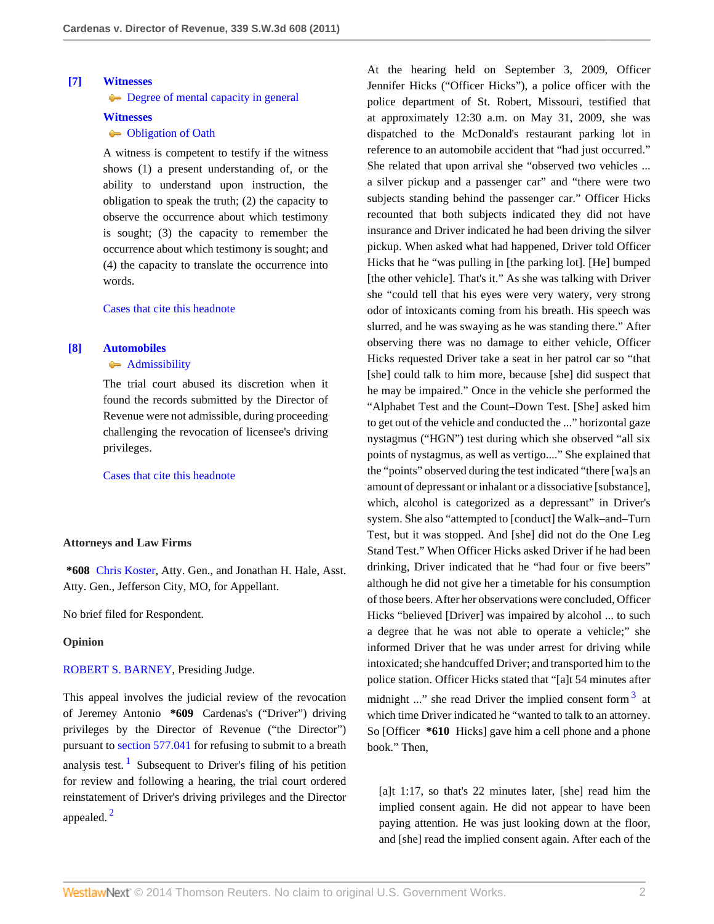# <span id="page-1-0"></span>**[\[7\]](#page-2-6) [Witnesses](http://www.westlaw.com/Browse/Home/KeyNumber/410/View.html?docGuid=I75e1877569b011e0b63e897ab6fa6920&originationContext=document&vr=3.0&rs=cblt1.0&transitionType=DocumentItem&contextData=(sc.Search))**

[Degree of mental capacity in general](http://www.westlaw.com/Browse/Home/KeyNumber/410k39/View.html?docGuid=I75e1877569b011e0b63e897ab6fa6920&originationContext=document&vr=3.0&rs=cblt1.0&transitionType=DocumentItem&contextData=(sc.Search))

### **[Witnesses](http://www.westlaw.com/Browse/Home/KeyNumber/410/View.html?docGuid=I75e1877569b011e0b63e897ab6fa6920&originationContext=document&vr=3.0&rs=cblt1.0&transitionType=DocumentItem&contextData=(sc.Search))**

# **Cobligation of Oath**

A witness is competent to testify if the witness shows (1) a present understanding of, or the ability to understand upon instruction, the obligation to speak the truth; (2) the capacity to observe the occurrence about which testimony is sought; (3) the capacity to remember the occurrence about which testimony is sought; and (4) the capacity to translate the occurrence into words.

# [Cases that cite this headnote](http://www.westlaw.com/Link/RelatedInformation/DocHeadnoteLink?docGuid=I75e1877569b011e0b63e897ab6fa6920&headnoteId=202508627400720130628082838&originationContext=document&vr=3.0&rs=cblt1.0&transitionType=CitingReferences&contextData=(sc.Search))

### <span id="page-1-1"></span>**[\[8\]](#page-2-7) [Automobiles](http://www.westlaw.com/Browse/Home/KeyNumber/48A/View.html?docGuid=I75e1877569b011e0b63e897ab6fa6920&originationContext=document&vr=3.0&rs=cblt1.0&transitionType=DocumentItem&contextData=(sc.Search))**

# [Admissibility](http://www.westlaw.com/Browse/Home/KeyNumber/48Ak144.2(9.7)/View.html?docGuid=I75e1877569b011e0b63e897ab6fa6920&originationContext=document&vr=3.0&rs=cblt1.0&transitionType=DocumentItem&contextData=(sc.Search))

The trial court abused its discretion when it found the records submitted by the Director of Revenue were not admissible, during proceeding challenging the revocation of licensee's driving privileges.

[Cases that cite this headnote](http://www.westlaw.com/Link/RelatedInformation/DocHeadnoteLink?docGuid=I75e1877569b011e0b63e897ab6fa6920&headnoteId=202508627400820130628082838&originationContext=document&vr=3.0&rs=cblt1.0&transitionType=CitingReferences&contextData=(sc.Search))

# **Attorneys and Law Firms**

**\*608** [Chris Koster](http://www.westlaw.com/Link/Document/FullText?findType=h&pubNum=176284&cite=0369913201&originatingDoc=I75e1877569b011e0b63e897ab6fa6920&refType=RQ&originationContext=document&vr=3.0&rs=cblt1.0&transitionType=DocumentItem&contextData=(sc.Search)), Atty. Gen., and Jonathan H. Hale, Asst. Atty. Gen., Jefferson City, MO, for Appellant.

No brief filed for Respondent.

## **Opinion**

[ROBERT S. BARNEY,](http://www.westlaw.com/Link/Document/FullText?findType=h&pubNum=176284&cite=0188772501&originatingDoc=I75e1877569b011e0b63e897ab6fa6920&refType=RQ&originationContext=document&vr=3.0&rs=cblt1.0&transitionType=DocumentItem&contextData=(sc.Search)) Presiding Judge.

<span id="page-1-3"></span><span id="page-1-2"></span>This appeal involves the judicial review of the revocation of Jeremey Antonio **\*609** Cardenas's ("Driver") driving privileges by the Director of Revenue ("the Director") pursuant to [section 577.041](http://www.westlaw.com/Link/Document/FullText?findType=L&pubNum=1000229&cite=MOST577.041&originatingDoc=I75e1877569b011e0b63e897ab6fa6920&refType=LQ&originationContext=document&vr=3.0&rs=cblt1.0&transitionType=DocumentItem&contextData=(sc.Search)) for refusing to submit to a breath analysis test.<sup>[1](#page-3-0)</sup> Subsequent to Driver's filing of his petition for review and following a hearing, the trial court ordered reinstatement of Driver's driving privileges and the Director appealed. [2](#page-3-1)

At the hearing held on September 3, 2009, Officer Jennifer Hicks ("Officer Hicks"), a police officer with the police department of St. Robert, Missouri, testified that at approximately 12:30 a.m. on May 31, 2009, she was dispatched to the McDonald's restaurant parking lot in reference to an automobile accident that "had just occurred." She related that upon arrival she "observed two vehicles ... a silver pickup and a passenger car" and "there were two subjects standing behind the passenger car." Officer Hicks recounted that both subjects indicated they did not have insurance and Driver indicated he had been driving the silver pickup. When asked what had happened, Driver told Officer Hicks that he "was pulling in [the parking lot]. [He] bumped [the other vehicle]. That's it." As she was talking with Driver she "could tell that his eyes were very watery, very strong odor of intoxicants coming from his breath. His speech was slurred, and he was swaying as he was standing there." After observing there was no damage to either vehicle, Officer Hicks requested Driver take a seat in her patrol car so "that [she] could talk to him more, because [she] did suspect that he may be impaired." Once in the vehicle she performed the "Alphabet Test and the Count–Down Test. [She] asked him to get out of the vehicle and conducted the ..." horizontal gaze nystagmus ("HGN") test during which she observed "all six points of nystagmus, as well as vertigo...." She explained that the "points" observed during the test indicated "there [wa]s an amount of depressant or inhalant or a dissociative [substance], which, alcohol is categorized as a depressant" in Driver's system. She also "attempted to [conduct] the Walk–and–Turn Test, but it was stopped. And [she] did not do the One Leg Stand Test." When Officer Hicks asked Driver if he had been drinking, Driver indicated that he "had four or five beers" although he did not give her a timetable for his consumption of those beers. After her observations were concluded, Officer Hicks "believed [Driver] was impaired by alcohol ... to such a degree that he was not able to operate a vehicle;" she informed Driver that he was under arrest for driving while intoxicated; she handcuffed Driver; and transported him to the police station. Officer Hicks stated that "[a]t 54 minutes after midnight ..." she read Driver the implied consent form  $3$  at which time Driver indicated he "wanted to talk to an attorney. So [Officer **\*610** Hicks] gave him a cell phone and a phone

[a]t 1:17, so that's 22 minutes later, [she] read him the implied consent again. He did not appear to have been paying attention. He was just looking down at the floor, and [she] read the implied consent again. After each of the

<span id="page-1-4"></span>book." Then,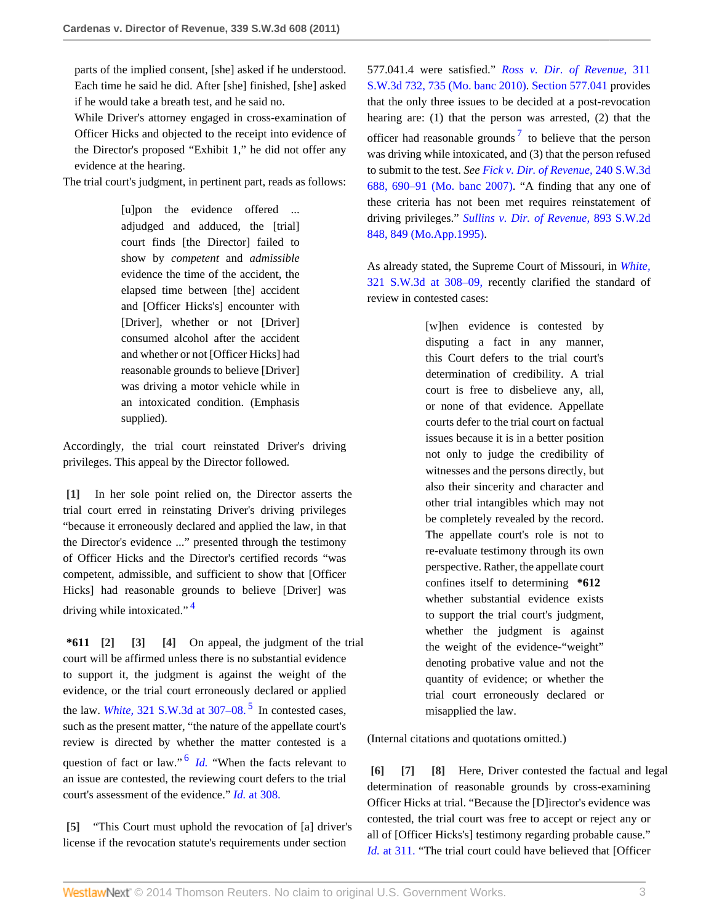parts of the implied consent, [she] asked if he understood. Each time he said he did. After [she] finished, [she] asked if he would take a breath test, and he said no.

While Driver's attorney engaged in cross-examination of Officer Hicks and objected to the receipt into evidence of the Director's proposed "Exhibit 1," he did not offer any evidence at the hearing.

The trial court's judgment, in pertinent part, reads as follows:

[u]pon the evidence offered ... adjudged and adduced, the [trial] court finds [the Director] failed to show by *competent* and *admissible* evidence the time of the accident, the elapsed time between [the] accident and [Officer Hicks's] encounter with [Driver], whether or not [Driver] consumed alcohol after the accident and whether or not [Officer Hicks] had reasonable grounds to believe [Driver] was driving a motor vehicle while in an intoxicated condition. (Emphasis supplied).

Accordingly, the trial court reinstated Driver's driving privileges. This appeal by the Director followed.

<span id="page-2-0"></span>**[\[1\]](#page-0-0)** In her sole point relied on, the Director asserts the trial court erred in reinstating Driver's driving privileges "because it erroneously declared and applied the law, in that the Director's evidence ..." presented through the testimony of Officer Hicks and the Director's certified records "was competent, admissible, and sufficient to show that [Officer Hicks] had reasonable grounds to believe [Driver] was driving while intoxicated."<sup>[4](#page-3-3)</sup>

<span id="page-2-8"></span><span id="page-2-3"></span><span id="page-2-2"></span><span id="page-2-1"></span>**\*611 [\[2\]](#page-0-1) [\[3\]](#page-0-2) [\[4\]](#page-0-3)** On appeal, the judgment of the trial court will be affirmed unless there is no substantial evidence to support it, the judgment is against the weight of the evidence, or the trial court erroneously declared or applied the law. *White*,  $321$  S.W.3d at  $307-08$ .<sup>[5](#page-4-0)</sup> In contested cases, such as the present matter, "the nature of the appellate court's review is directed by whether the matter contested is a question of fact or law."<sup>[6](#page-4-1)</sup> *[Id.](http://www.westlaw.com/Link/Document/FullText?findType=Y&serNum=2022811102&originationContext=document&vr=3.0&rs=cblt1.0&transitionType=DocumentItem&contextData=(sc.Search))* "When the facts relevant to an issue are contested, the reviewing court defers to the trial court's assessment of the evidence." *Id.* [at 308.](http://www.westlaw.com/Link/Document/FullText?findType=Y&serNum=2022811102&originationContext=document&vr=3.0&rs=cblt1.0&transitionType=DocumentItem&contextData=(sc.Search))

<span id="page-2-10"></span><span id="page-2-4"></span>**[\[5\]](#page-0-4)** "This Court must uphold the revocation of [a] driver's license if the revocation statute's requirements under section

<span id="page-2-11"></span>577.041.4 were satisfied." *[Ross v. Dir. of Revenue,](http://www.westlaw.com/Link/Document/FullText?findType=Y&serNum=2021323372&pubNum=4644&fi=co_pp_sp_4644_735&originationContext=document&vr=3.0&rs=cblt1.0&transitionType=DocumentItem&contextData=(sc.Search)#co_pp_sp_4644_735)* 311 [S.W.3d 732, 735 \(Mo. banc 2010\)](http://www.westlaw.com/Link/Document/FullText?findType=Y&serNum=2021323372&pubNum=4644&fi=co_pp_sp_4644_735&originationContext=document&vr=3.0&rs=cblt1.0&transitionType=DocumentItem&contextData=(sc.Search)#co_pp_sp_4644_735). [Section 577.041](http://www.westlaw.com/Link/Document/FullText?findType=L&pubNum=1000229&cite=MOST577.041&originatingDoc=I75e1877569b011e0b63e897ab6fa6920&refType=LQ&originationContext=document&vr=3.0&rs=cblt1.0&transitionType=DocumentItem&contextData=(sc.Search)) provides that the only three issues to be decided at a post-revocation hearing are: (1) that the person was arrested, (2) that the officer had reasonable grounds<sup>[7](#page-4-2)</sup> to believe that the person was driving while intoxicated, and (3) that the person refused to submit to the test. *See [Fick v. Dir. of Revenue,](http://www.westlaw.com/Link/Document/FullText?findType=Y&serNum=2014387174&pubNum=4644&fi=co_pp_sp_4644_690&originationContext=document&vr=3.0&rs=cblt1.0&transitionType=DocumentItem&contextData=(sc.Search)#co_pp_sp_4644_690)* 240 S.W.3d [688, 690–91 \(Mo. banc 2007\).](http://www.westlaw.com/Link/Document/FullText?findType=Y&serNum=2014387174&pubNum=4644&fi=co_pp_sp_4644_690&originationContext=document&vr=3.0&rs=cblt1.0&transitionType=DocumentItem&contextData=(sc.Search)#co_pp_sp_4644_690) "A finding that any one of these criteria has not been met requires reinstatement of driving privileges." *[Sullins v. Dir. of Revenue,](http://www.westlaw.com/Link/Document/FullText?findType=Y&serNum=1995047981&pubNum=713&fi=co_pp_sp_713_849&originationContext=document&vr=3.0&rs=cblt1.0&transitionType=DocumentItem&contextData=(sc.Search)#co_pp_sp_713_849)* 893 S.W.2d [848, 849 \(Mo.App.1995\)](http://www.westlaw.com/Link/Document/FullText?findType=Y&serNum=1995047981&pubNum=713&fi=co_pp_sp_713_849&originationContext=document&vr=3.0&rs=cblt1.0&transitionType=DocumentItem&contextData=(sc.Search)#co_pp_sp_713_849).

As already stated, the Supreme Court of Missouri, in *[White,](http://www.westlaw.com/Link/Document/FullText?findType=Y&serNum=2022811102&pubNum=4644&fi=co_pp_sp_4644_308&originationContext=document&vr=3.0&rs=cblt1.0&transitionType=DocumentItem&contextData=(sc.Search)#co_pp_sp_4644_308)* [321 S.W.3d at 308–09,](http://www.westlaw.com/Link/Document/FullText?findType=Y&serNum=2022811102&pubNum=4644&fi=co_pp_sp_4644_308&originationContext=document&vr=3.0&rs=cblt1.0&transitionType=DocumentItem&contextData=(sc.Search)#co_pp_sp_4644_308) recently clarified the standard of review in contested cases:

> [w]hen evidence is contested by disputing a fact in any manner, this Court defers to the trial court's determination of credibility. A trial court is free to disbelieve any, all, or none of that evidence. Appellate courts defer to the trial court on factual issues because it is in a better position not only to judge the credibility of witnesses and the persons directly, but also their sincerity and character and other trial intangibles which may not be completely revealed by the record. The appellate court's role is not to re-evaluate testimony through its own perspective. Rather, the appellate court confines itself to determining **\*612** whether substantial evidence exists to support the trial court's judgment, whether the judgment is against the weight of the evidence-"weight" denoting probative value and not the quantity of evidence; or whether the trial court erroneously declared or misapplied the law.

<span id="page-2-9"></span>(Internal citations and quotations omitted.)

<span id="page-2-7"></span><span id="page-2-6"></span><span id="page-2-5"></span>**[\[6\]](#page-0-5) [\[7\]](#page-1-0) [\[8\]](#page-1-1)** Here, Driver contested the factual and legal determination of reasonable grounds by cross-examining Officer Hicks at trial. "Because the [D]irector's evidence was contested, the trial court was free to accept or reject any or all of [Officer Hicks's] testimony regarding probable cause." *Id.* [at 311.](http://www.westlaw.com/Link/Document/FullText?findType=Y&serNum=2022811102&originationContext=document&vr=3.0&rs=cblt1.0&transitionType=DocumentItem&contextData=(sc.Search)) "The trial court could have believed that [Officer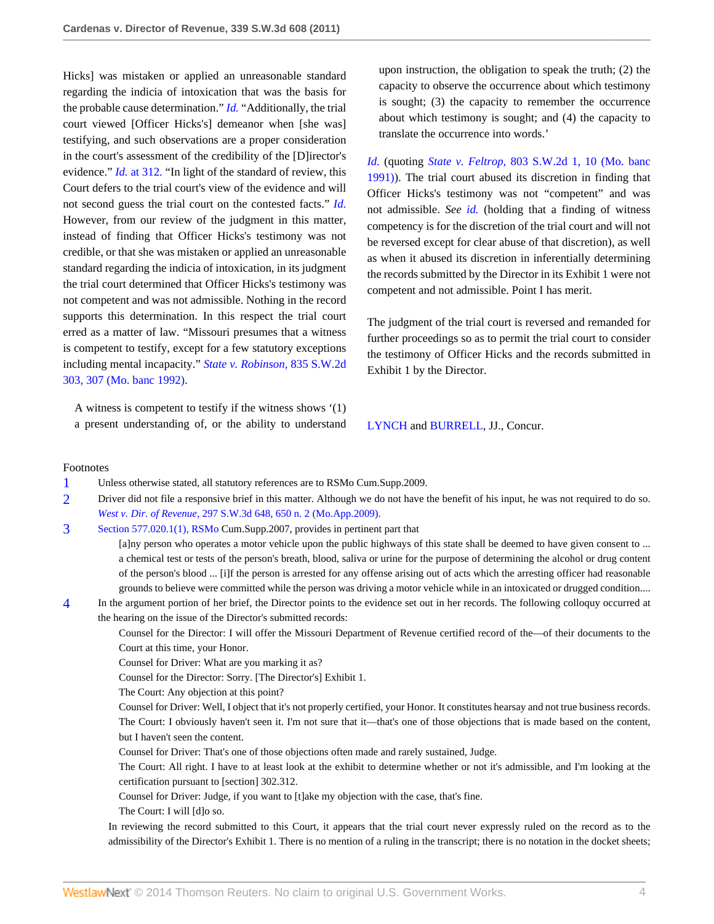Hicks] was mistaken or applied an unreasonable standard regarding the indicia of intoxication that was the basis for the probable cause determination." *[Id.](http://www.westlaw.com/Link/Document/FullText?findType=Y&serNum=2022811102&originationContext=document&vr=3.0&rs=cblt1.0&transitionType=DocumentItem&contextData=(sc.Search))* "Additionally, the trial court viewed [Officer Hicks's] demeanor when [she was] testifying, and such observations are a proper consideration in the court's assessment of the credibility of the [D]irector's evidence." *Id.* [at 312.](http://www.westlaw.com/Link/Document/FullText?findType=Y&serNum=2022811102&originationContext=document&vr=3.0&rs=cblt1.0&transitionType=DocumentItem&contextData=(sc.Search)) "In light of the standard of review, this Court defers to the trial court's view of the evidence and will not second guess the trial court on the contested facts." *[Id.](http://www.westlaw.com/Link/Document/FullText?findType=Y&serNum=2022811102&originationContext=document&vr=3.0&rs=cblt1.0&transitionType=DocumentItem&contextData=(sc.Search))* However, from our review of the judgment in this matter, instead of finding that Officer Hicks's testimony was not credible, or that she was mistaken or applied an unreasonable standard regarding the indicia of intoxication, in its judgment the trial court determined that Officer Hicks's testimony was not competent and was not admissible. Nothing in the record supports this determination. In this respect the trial court erred as a matter of law. "Missouri presumes that a witness is competent to testify, except for a few statutory exceptions including mental incapacity." *[State v. Robinson,](http://www.westlaw.com/Link/Document/FullText?findType=Y&serNum=1992102507&pubNum=713&fi=co_pp_sp_713_307&originationContext=document&vr=3.0&rs=cblt1.0&transitionType=DocumentItem&contextData=(sc.Search)#co_pp_sp_713_307)* 835 S.W.2d [303, 307 \(Mo. banc 1992\)](http://www.westlaw.com/Link/Document/FullText?findType=Y&serNum=1992102507&pubNum=713&fi=co_pp_sp_713_307&originationContext=document&vr=3.0&rs=cblt1.0&transitionType=DocumentItem&contextData=(sc.Search)#co_pp_sp_713_307).

A witness is competent to testify if the witness shows '(1) a present understanding of, or the ability to understand upon instruction, the obligation to speak the truth; (2) the capacity to observe the occurrence about which testimony is sought; (3) the capacity to remember the occurrence about which testimony is sought; and (4) the capacity to translate the occurrence into words.'

*[Id.](http://www.westlaw.com/Link/Document/FullText?findType=Y&serNum=1992102507&originationContext=document&vr=3.0&rs=cblt1.0&transitionType=DocumentItem&contextData=(sc.Search))* (quoting *State v. Feltrop,* [803 S.W.2d 1, 10 \(Mo. banc](http://www.westlaw.com/Link/Document/FullText?findType=Y&serNum=1991020969&pubNum=713&fi=co_pp_sp_713_10&originationContext=document&vr=3.0&rs=cblt1.0&transitionType=DocumentItem&contextData=(sc.Search)#co_pp_sp_713_10) [1991\)](http://www.westlaw.com/Link/Document/FullText?findType=Y&serNum=1991020969&pubNum=713&fi=co_pp_sp_713_10&originationContext=document&vr=3.0&rs=cblt1.0&transitionType=DocumentItem&contextData=(sc.Search)#co_pp_sp_713_10)). The trial court abused its discretion in finding that Officer Hicks's testimony was not "competent" and was not admissible. *See [id.](http://www.westlaw.com/Link/Document/FullText?findType=Y&serNum=1992102507&originationContext=document&vr=3.0&rs=cblt1.0&transitionType=DocumentItem&contextData=(sc.Search))* (holding that a finding of witness competency is for the discretion of the trial court and will not be reversed except for clear abuse of that discretion), as well as when it abused its discretion in inferentially determining the records submitted by the Director in its Exhibit 1 were not competent and not admissible. Point I has merit.

The judgment of the trial court is reversed and remanded for further proceedings so as to permit the trial court to consider the testimony of Officer Hicks and the records submitted in Exhibit 1 by the Director.

[LYNCH](http://www.westlaw.com/Link/Document/FullText?findType=h&pubNum=176284&cite=0132591401&originatingDoc=I75e1877569b011e0b63e897ab6fa6920&refType=RQ&originationContext=document&vr=3.0&rs=cblt1.0&transitionType=DocumentItem&contextData=(sc.Search)) and [BURRELL](http://www.westlaw.com/Link/Document/FullText?findType=h&pubNum=176284&cite=0235973401&originatingDoc=I75e1877569b011e0b63e897ab6fa6920&refType=RQ&originationContext=document&vr=3.0&rs=cblt1.0&transitionType=DocumentItem&contextData=(sc.Search)), JJ., Concur.

#### Footnotes

- <span id="page-3-0"></span>[1](#page-1-2) Unless otherwise stated, all statutory references are to RSMo Cum.Supp.2009.
- <span id="page-3-1"></span>[2](#page-1-3) Driver did not file a responsive brief in this matter. Although we do not have the benefit of his input, he was not required to do so. *West v. Dir. of Revenue,* [297 S.W.3d 648, 650 n. 2 \(Mo.App.2009\)](http://www.westlaw.com/Link/Document/FullText?findType=Y&serNum=2020435828&pubNum=4644&fi=co_pp_sp_4644_650&originationContext=document&vr=3.0&rs=cblt1.0&transitionType=DocumentItem&contextData=(sc.Search)#co_pp_sp_4644_650).
- <span id="page-3-2"></span>[3](#page-1-4) [Section 577.020.1\(1\), RSMo](http://www.westlaw.com/Link/Document/FullText?findType=L&pubNum=1000229&cite=MOST577.020&originatingDoc=I75e1877569b011e0b63e897ab6fa6920&refType=LQ&originationContext=document&vr=3.0&rs=cblt1.0&transitionType=DocumentItem&contextData=(sc.Search)) Cum.Supp.2007, provides in pertinent part that

[a]ny person who operates a motor vehicle upon the public highways of this state shall be deemed to have given consent to ... a chemical test or tests of the person's breath, blood, saliva or urine for the purpose of determining the alcohol or drug content of the person's blood ... [i]f the person is arrested for any offense arising out of acts which the arresting officer had reasonable grounds to believe were committed while the person was driving a motor vehicle while in an intoxicated or drugged condition....

<span id="page-3-3"></span>[4](#page-2-8) In the argument portion of her brief, the Director points to the evidence set out in her records. The following colloquy occurred at the hearing on the issue of the Director's submitted records:

Counsel for the Director: I will offer the Missouri Department of Revenue certified record of the—of their documents to the Court at this time, your Honor.

Counsel for Driver: What are you marking it as?

Counsel for the Director: Sorry. [The Director's] Exhibit 1.

The Court: Any objection at this point?

Counsel for Driver: Well, I object that it's not properly certified, your Honor. It constitutes hearsay and not true business records. The Court: I obviously haven't seen it. I'm not sure that it—that's one of those objections that is made based on the content, but I haven't seen the content.

Counsel for Driver: That's one of those objections often made and rarely sustained, Judge.

The Court: All right. I have to at least look at the exhibit to determine whether or not it's admissible, and I'm looking at the certification pursuant to [section] 302.312.

Counsel for Driver: Judge, if you want to [t]ake my objection with the case, that's fine.

The Court: I will [d]o so.

In reviewing the record submitted to this Court, it appears that the trial court never expressly ruled on the record as to the admissibility of the Director's Exhibit 1. There is no mention of a ruling in the transcript; there is no notation in the docket sheets;